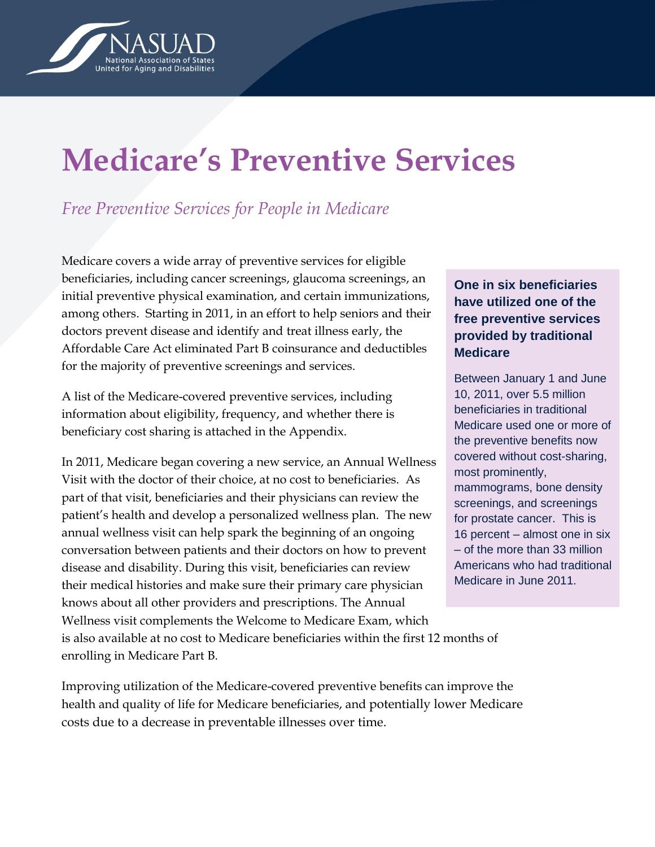

# **Medicare's Preventive Services**

## *Free Preventive Services for People in Medicare*

Medicare covers a wide array of preventive services for eligible beneficiaries, including cancer screenings, glaucoma screenings, an initial preventive physical examination, and certain immunizations, among others. Starting in 2011, in an effort to help seniors and their doctors prevent disease and identify and treat illness early, the Affordable Care Act eliminated Part B coinsurance and deductibles for the majority of preventive screenings and services.

A list of the Medicare-covered preventive services, including information about eligibility, frequency, and whether there is beneficiary cost sharing is attached in the Appendix.

In 2011, Medicare began covering a new service, an Annual Wellness Visit with the doctor of their choice, at no cost to beneficiaries. As part of that visit, beneficiaries and their physicians can review the patient"s health and develop a personalized wellness plan. The new annual wellness visit can help spark the beginning of an ongoing conversation between patients and their doctors on how to prevent disease and disability. During this visit, beneficiaries can review their medical histories and make sure their primary care physician knows about all other providers and prescriptions. The Annual Wellness visit complements the Welcome to Medicare Exam, which is also available at no cost to Medicare beneficiaries within the first 12 months of enrolling in Medicare Part B.

Improving utilization of the Medicare-covered preventive benefits can improve the health and quality of life for Medicare beneficiaries, and potentially lower Medicare costs due to a decrease in preventable illnesses over time.

### **One in six beneficiaries have utilized one of the free preventive services provided by traditional Medicare**

Between January 1 and June 10, 2011, over 5.5 million beneficiaries in traditional Medicare used one or more of the preventive benefits now covered without cost-sharing, most prominently, mammograms, bone density screenings, and screenings for prostate cancer. This is 16 percent – almost one in six – of the more than 33 million Americans who had traditional Medicare in June 2011.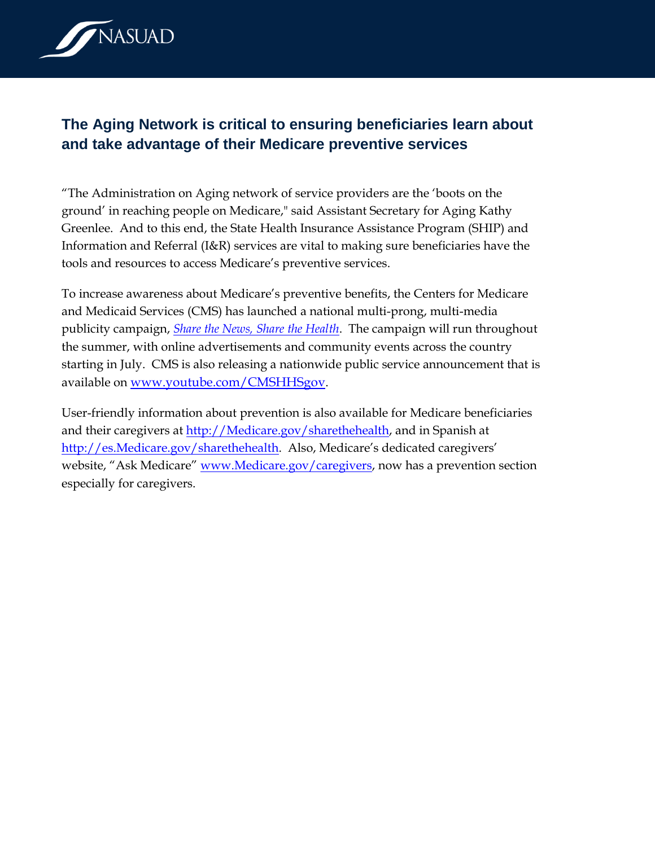

## **The Aging Network is critical to ensuring beneficiaries learn about and take advantage of their Medicare preventive services**

"The Administration on Aging network of service providers are the "boots on the ground" in reaching people on Medicare," said Assistant Secretary for Aging Kathy Greenlee. And to this end, the State Health Insurance Assistance Program (SHIP) and Information and Referral (I&R) services are vital to making sure beneficiaries have the tools and resources to access Medicare"s preventive services.

To increase awareness about Medicare"s preventive benefits, the Centers for Medicare and Medicaid Services (CMS) has launched a national multi-prong, multi-media publicity campaign, *[Share the News, Share the Health](http://www.medicare.gov/share-the-health/)*. The campaign will run throughout the summer, with online advertisements and community events across the country starting in July. CMS is also releasing a nationwide public service announcement that is available on [www.youtube.com/CMSHHSgov](http://www.youtube.com/CMSHHSgov).

User-friendly information about prevention is also available for Medicare beneficiaries and their caregivers at [http://Medicare.gov/sharethehealth,](http://medicare.gov/sharethehealth) and in Spanish at [http://es.Medicare.gov/sharethehealth.](http://es.medicare.gov/sharethehealth) Also, Medicare's dedicated caregivers' website, "Ask Medicare" [www.Medicare.gov/caregivers,](http://www.medicare.gov/caregivers) now has a prevention section especially for caregivers.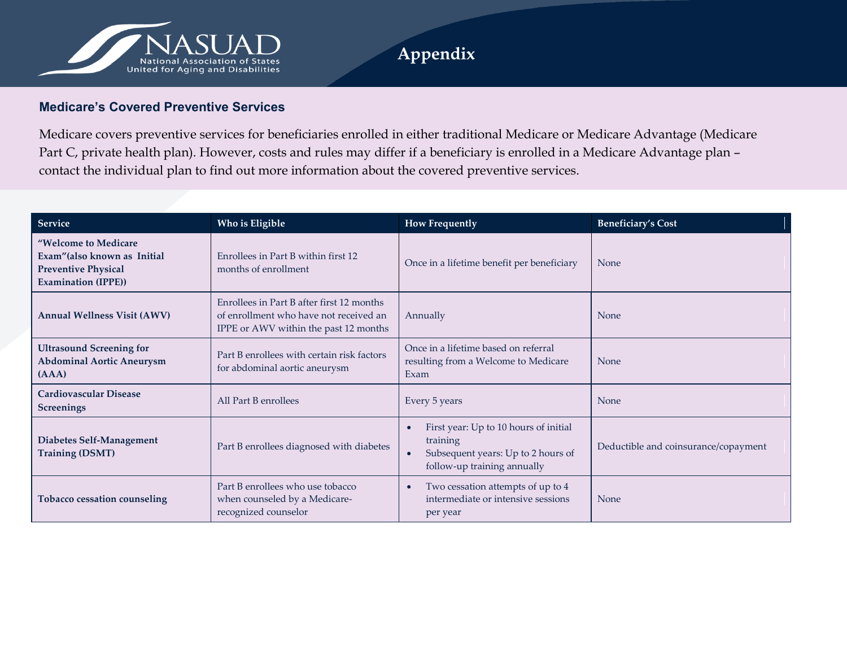

#### **Medicare's Covered Preventive Services**

Medicare covers preventive services for beneficiaries enrolled in either traditional Medicare or Medicare Advantage (Medicare Part C, private health plan). However, costs and rules may differ if a beneficiary is enrolled in a Medicare Advantage plan – contact the individual plan to find out more information about the covered preventive services.

| <b>Service</b>                                                                                                   | Who is Eligible                                                                                                              | <b>How Frequently</b>                                                                                                               | <b>Beneficiary's Cost</b>            |
|------------------------------------------------------------------------------------------------------------------|------------------------------------------------------------------------------------------------------------------------------|-------------------------------------------------------------------------------------------------------------------------------------|--------------------------------------|
| "Welcome to Medicare<br>Exam" (also known as Initial<br><b>Preventive Physical</b><br><b>Examination (IPPE))</b> | Enrollees in Part B within first 12<br>months of enrollment                                                                  | Once in a lifetime benefit per beneficiary                                                                                          | <b>None</b>                          |
| <b>Annual Wellness Visit (AWV)</b>                                                                               | Enrollees in Part B after first 12 months<br>of enrollment who have not received an<br>IPPE or AWV within the past 12 months | Annually                                                                                                                            | <b>None</b>                          |
| <b>Ultrasound Screening for</b><br><b>Abdominal Aortic Aneurysm</b><br>(AAA)                                     | Part B enrollees with certain risk factors<br>for abdominal aortic aneurysm                                                  | Once in a lifetime based on referral<br>resulting from a Welcome to Medicare<br>Exam                                                | <b>None</b>                          |
| <b>Cardiovascular Disease</b><br><b>Screenings</b>                                                               | All Part B enrollees                                                                                                         | Every 5 years                                                                                                                       | None                                 |
| Diabetes Self-Management<br><b>Training (DSMT)</b>                                                               | Part B enrollees diagnosed with diabetes                                                                                     | First year: Up to 10 hours of initial<br>training<br>Subsequent years: Up to 2 hours of<br>$\bullet$<br>follow-up training annually | Deductible and coinsurance/copayment |
| Tobacco cessation counseling                                                                                     | Part B enrollees who use tobacco<br>when counseled by a Medicare-<br>recognized counselor                                    | Two cessation attempts of up to 4<br>intermediate or intensive sessions<br>per year                                                 | <b>None</b>                          |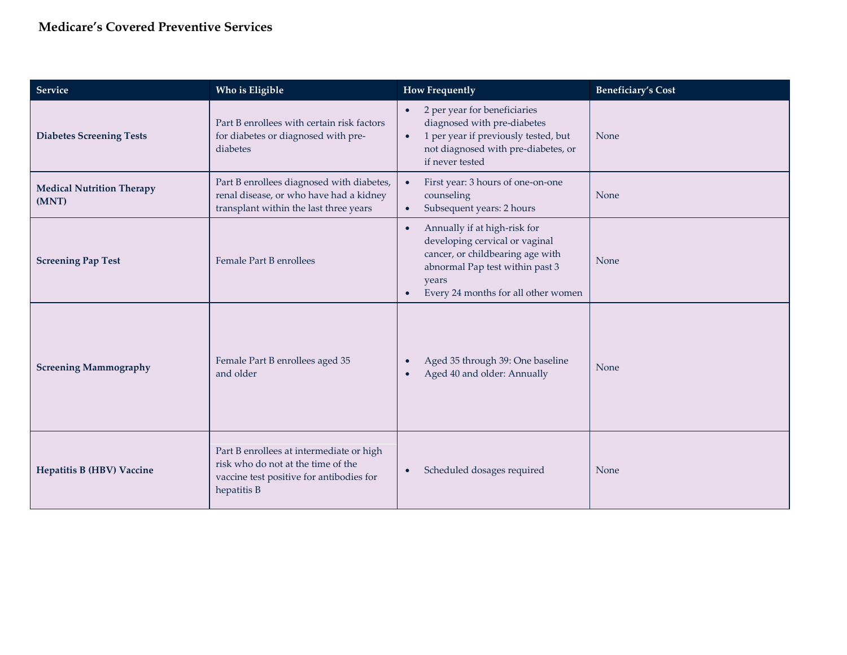## **Medicare's Covered Preventive Services**

| Service                                   | Who is Eligible                                                                                                                           | <b>How Frequently</b>                                                                                                                                                                                           | <b>Beneficiary's Cost</b> |
|-------------------------------------------|-------------------------------------------------------------------------------------------------------------------------------------------|-----------------------------------------------------------------------------------------------------------------------------------------------------------------------------------------------------------------|---------------------------|
| <b>Diabetes Screening Tests</b>           | Part B enrollees with certain risk factors<br>for diabetes or diagnosed with pre-<br>diabetes                                             | 2 per year for beneficiaries<br>$\bullet$<br>diagnosed with pre-diabetes<br>1 per year if previously tested, but<br>$\bullet$<br>not diagnosed with pre-diabetes, or<br>if never tested                         | None                      |
| <b>Medical Nutrition Therapy</b><br>(MNT) | Part B enrollees diagnosed with diabetes,<br>renal disease, or who have had a kidney<br>transplant within the last three years            | First year: 3 hours of one-on-one<br>$\bullet$<br>counseling<br>Subsequent years: 2 hours<br>$\bullet$                                                                                                          | None                      |
| <b>Screening Pap Test</b>                 | Female Part B enrollees                                                                                                                   | Annually if at high-risk for<br>$\bullet$<br>developing cervical or vaginal<br>cancer, or childbearing age with<br>abnormal Pap test within past 3<br>years<br>Every 24 months for all other women<br>$\bullet$ | None                      |
| <b>Screening Mammography</b>              | Female Part B enrollees aged 35<br>and older                                                                                              | Aged 35 through 39: One baseline<br>$\bullet$<br>Aged 40 and older: Annually                                                                                                                                    | None                      |
| <b>Hepatitis B (HBV) Vaccine</b>          | Part B enrollees at intermediate or high<br>risk who do not at the time of the<br>vaccine test positive for antibodies for<br>hepatitis B | Scheduled dosages required<br>$\bullet$                                                                                                                                                                         | None                      |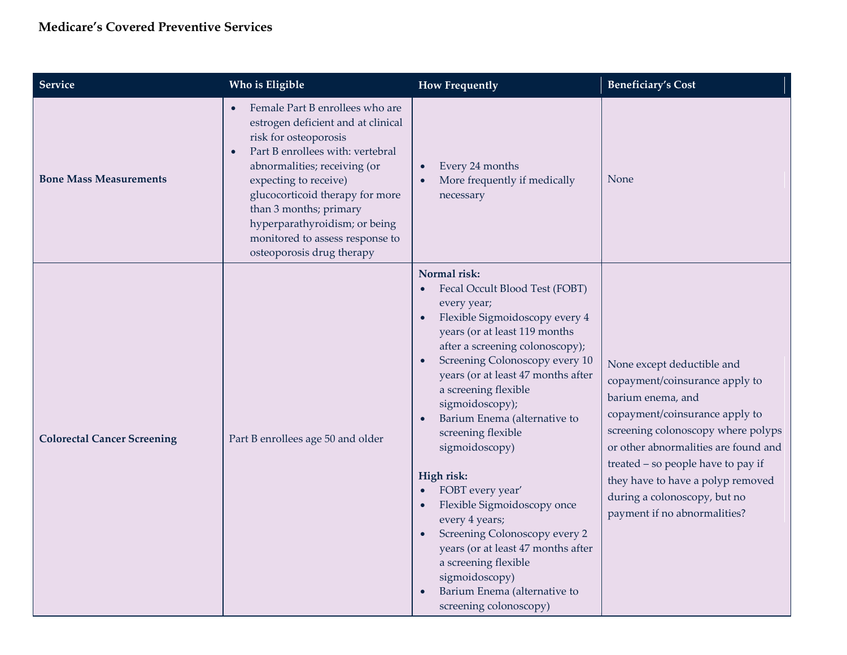| Service                            | Who is Eligible                                                                                                                                                                                                                                                                                                                                                                     | <b>How Frequently</b>                                                                                                                                                                                                                                                                                                                                                                                                                                                                                                                                                                                                                                  | <b>Beneficiary's Cost</b>                                                                                                                                                                                                                                                                                                                    |
|------------------------------------|-------------------------------------------------------------------------------------------------------------------------------------------------------------------------------------------------------------------------------------------------------------------------------------------------------------------------------------------------------------------------------------|--------------------------------------------------------------------------------------------------------------------------------------------------------------------------------------------------------------------------------------------------------------------------------------------------------------------------------------------------------------------------------------------------------------------------------------------------------------------------------------------------------------------------------------------------------------------------------------------------------------------------------------------------------|----------------------------------------------------------------------------------------------------------------------------------------------------------------------------------------------------------------------------------------------------------------------------------------------------------------------------------------------|
| <b>Bone Mass Measurements</b>      | Female Part B enrollees who are<br>$\bullet$<br>estrogen deficient and at clinical<br>risk for osteoporosis<br>Part B enrollees with: vertebral<br>$\bullet$<br>abnormalities; receiving (or<br>expecting to receive)<br>glucocorticoid therapy for more<br>than 3 months; primary<br>hyperparathyroidism; or being<br>monitored to assess response to<br>osteoporosis drug therapy | Every 24 months<br>$\bullet$<br>More frequently if medically<br>necessary                                                                                                                                                                                                                                                                                                                                                                                                                                                                                                                                                                              | None                                                                                                                                                                                                                                                                                                                                         |
| <b>Colorectal Cancer Screening</b> | Part B enrollees age 50 and older                                                                                                                                                                                                                                                                                                                                                   | Normal risk:<br>Fecal Occult Blood Test (FOBT)<br>$\bullet$<br>every year;<br>Flexible Sigmoidoscopy every 4<br>years (or at least 119 months<br>after a screening colonoscopy);<br>Screening Colonoscopy every 10<br>years (or at least 47 months after<br>a screening flexible<br>sigmoidoscopy);<br>Barium Enema (alternative to<br>$\bullet$<br>screening flexible<br>sigmoidoscopy)<br>High risk:<br>FOBT every year'<br>Flexible Sigmoidoscopy once<br>every 4 years;<br>Screening Colonoscopy every 2<br>years (or at least 47 months after<br>a screening flexible<br>sigmoidoscopy)<br>Barium Enema (alternative to<br>screening colonoscopy) | None except deductible and<br>copayment/coinsurance apply to<br>barium enema, and<br>copayment/coinsurance apply to<br>screening colonoscopy where polyps<br>or other abnormalities are found and<br>treated - so people have to pay if<br>they have to have a polyp removed<br>during a colonoscopy, but no<br>payment if no abnormalities? |